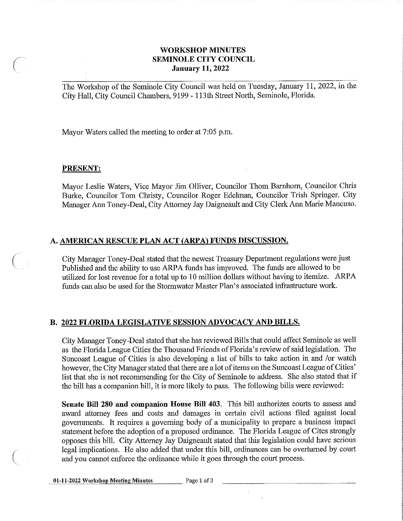## **WORKSHOP MINUTES SEMINOLE CITY COUNCIL** *(* **January 11, 2022**

The Workshop of the Seminole City Council was held on Tuesday, January 11, 2022, in the City Hall, City Council Chambers, 9199 - 113th Street North, Seminole, Florida.

Mayor Waters called the meeting to order at 7:05 p.m.

## **PRESENT:**

Mayor Leslie Waters, Vice Mayor Jim Olliver, Councilor Thom Barnhorn, Councilor Chris Burke, Councilor Tom Christy, Councilor Roger Edelman, Councilor Trish Springer. City Manager Ann Toney-Deal, City Attorney Jay Daigneault and City Clerk Ann Marie Mancuso.

## **A. AMERICAN RESCUE PLAN ACT (ARP A) FUNDS DISCUSSION.**

City Manager Toney-Deal stated that the newest Treasury Department regulations were just Published and the ability to use ARPA funds has improved. The funds are allowed to be utilized for lost revenue for a total up to 10 million dollars without having to itemize. ARP A funds can also be used for the Stormwater Master Plan's associated infrastructure work.

## **B. 2022 FLORIDA LEGISLATIVE SESSION ADVOCACY AND BILLS.**

City Manager Toney-Deal stated that she has reviewed Bills that could affect Seminole as well as the Florida League Cities the Thousand Friends of Florida's review of said legislation. The Suncoast League of Cities is also developing a list of bills to take action in and /or watch however, the City Manager stated that there are a lot of items on the Suncoast League of Cities' list that she is not recommending for the City of Seminole to address. She also stated that if the bill has a companion bill, it is more likely to pass. The following bills were reviewed:

**Senate Bill 280 and companion House Bill 403.** This bill authorizes courts to assess and award attorney fees and costs and damages in certain civil actions filed against local governments. It requires a governing body of a municipality to prepare a business impact statement before the adoption of a proposed ordinance. The Florida League of Cites strongly opposes this bill. City Attorney Jay Daigneault stated that this legislation could have serious legal implications. He also added that under this bill, ordinances can be overturned by court and you cannot enforce the ordinance while it goes through the court process.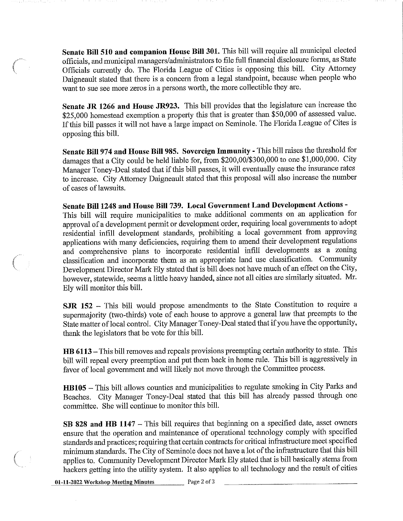**Senate Bill 510 and companion House Bill 301.** This bill will require all municipal elected officials, and municipal managers/administrators to file full financial disclosure fonns, as State Officials cunently do. The Florida League of Cities is opposing this bill. City Attorney Daigneault stated that there is a concern from a legal standpoint, because when people who want to sue see more zeros in a persons worth, the more collectible they are.

*(* 

Senate JR 1266 and House JR923. This bill provides that the legislature can increase the \$25,000 homestead exemption a property this that is greater than \$50,000 of assessed value. If this bill passes it will not have a large impact on Seminole. The Florida League of Cites is opposing this bill.

**Senate Bill 974 and House Bill 985. Sovereign Immunity - This bill raises the threshold for** damages that a City could be held liable for, from \$200,00/\$300,000 to one \$1,000,000. City Manager Toney-Deal stated that if this bill passes, it will eventually cause the insurance rates to increase. City Attorney Daigneault stated that this proposal will also increase the number of cases of lawsuits.

**Senate Bill 1248 and House Bill 739. Local Government Land Development Actions** - This bill will require municipalities to make additional comments on an application for approval of a development permit or development order, requiring local governments to adopt residential infill development standards, prohibiting a local government from approving applications with many deficiencies, requiring them to amend their development regulations and comprehensive plans to incorporate residential infill developments as a zoning classification and incorporate them as an appropriate land use classification. Community Development Director Mark Ely stated that is bill does not have much of an effect on the City, however, statewide, seems a little heavy handed, since not all cities are similarly situated. Mr. Ely will monitor this bill.

**SJR 152** - This bill would propose amendments to the State Constitution to require a supermajority (two-thirds) vote of each house to approve a general law that preempts to the State matter of local control. City Manager Toney-Deal stated that if you have the opportunity, thank the legislators that be vote for this bill.

**HB 6113-** This bill removes and repeals provisions preempting certain authority to state. This bill will repeal every preemption and put them back in home rule. This bill is aggressively in favor of local government and will likely not move through the Committee process.

HB105 - This bill allows counties and municipalities to regulate smoking in City Parks and Beaches. City Manager Toney-Deal stated that this bill has already passed through one committee. She will continue to monitor this bill.

SB 828 and HB 1147 – This bill requires that beginning on a specified date, asset owners ensure that the operation and maintenance of operational technology comply with specified standards and practices; requiring that certain contracts for critical infrastructure meet specified minimum standards. The City of Seminole does not have a lot of the infrastructure that this bill applies to. Community Development Director Mark Ely stated that is bill basically stems from hackers getting into the utility system. It also applies to all technology and the result of cities

01-11-2022 Workshop Meeting Minutes Page 2 of 3